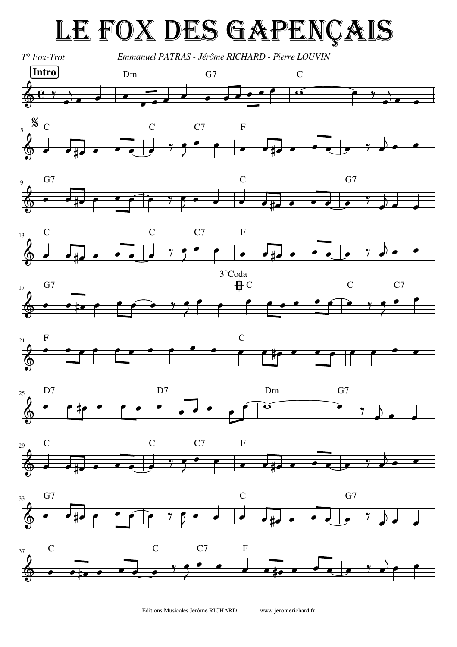## LE FOX DES GAPENÇAIS